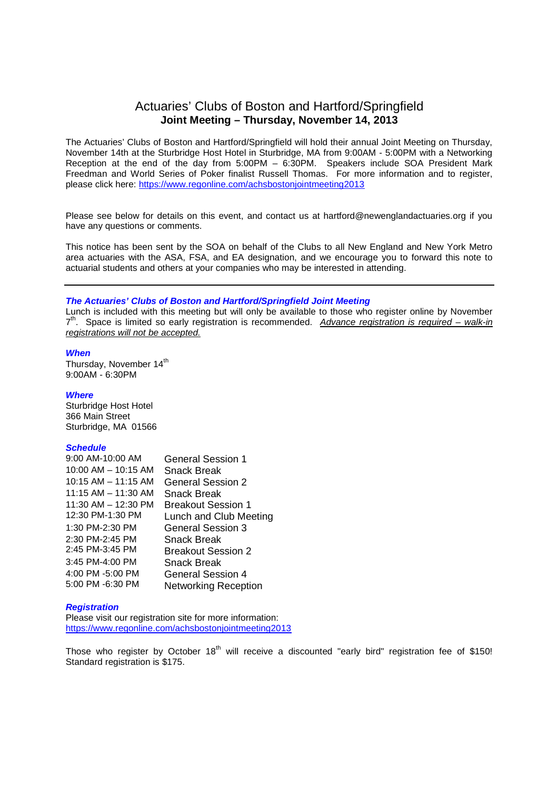# Actuaries' Clubs of Boston and Hartford/Springfield **Joint Meeting – Thursday, November 14, 2013**

The Actuaries' Clubs of Boston and Hartford/Springfield will hold their annual Joint Meeting on Thursday, November 14th at the Sturbridge Host Hotel in Sturbridge, MA from 9:00AM - 5:00PM with a Networking Reception at the end of the day from 5:00PM – 6:30PM. Speakers include SOA President Mark Freedman and World Series of Poker finalist Russell Thomas. For more information and to register, please click here: https://www.regonline.com/achsbostonjointmeeting2013

Please see below for details on this event, and contact us at hartford@newenglandactuaries.org if you have any questions or comments.

This notice has been sent by the SOA on behalf of the Clubs to all New England and New York Metro area actuaries with the ASA, FSA, and EA designation, and we encourage you to forward this note to actuarial students and others at your companies who may be interested in attending.

#### *The Actuaries' Clubs of Boston and Hartford/Springfield Joint Meeting*

Lunch is included with this meeting but will only be available to those who register online by November 7 th. Space is limited so early registration is recommended. *Advance registration is required – walk-in registrations will not be accepted.*

#### *When*

Thursday, November 14<sup>th</sup> 9:00AM - 6:30PM

#### *Where*

Sturbridge Host Hotel 366 Main Street Sturbridge, MA 01566

#### *Schedule*

| 9:00 AM-10:00 AM        | <b>General Session 1</b>    |
|-------------------------|-----------------------------|
| $10:00$ AM $- 10:15$ AM | <b>Snack Break</b>          |
| $10:15$ AM $-$ 11:15 AM | <b>General Session 2</b>    |
| $11:15$ AM $- 11:30$ AM | Snack Break                 |
| 11:30 AM - 12:30 PM     | <b>Breakout Session 1</b>   |
| 12:30 PM-1:30 PM        | Lunch and Club Meeting      |
| 1:30 PM-2:30 PM         | General Session 3           |
| 2:30 PM-2:45 PM         | Snack Break                 |
| 2:45 PM-3:45 PM         | <b>Breakout Session 2</b>   |
| 3:45 PM-4:00 PM         | Snack Break                 |
| 4:00 PM -5:00 PM        | <b>General Session 4</b>    |
| 5:00 PM -6:30 PM        | <b>Networking Reception</b> |

#### *Registration*

Please visit our registration site for more information: https://www.regonline.com/achsbostonjointmeeting2013

Those who register by October 18<sup>th</sup> will receive a discounted "early bird" registration fee of \$150! Standard registration is \$175.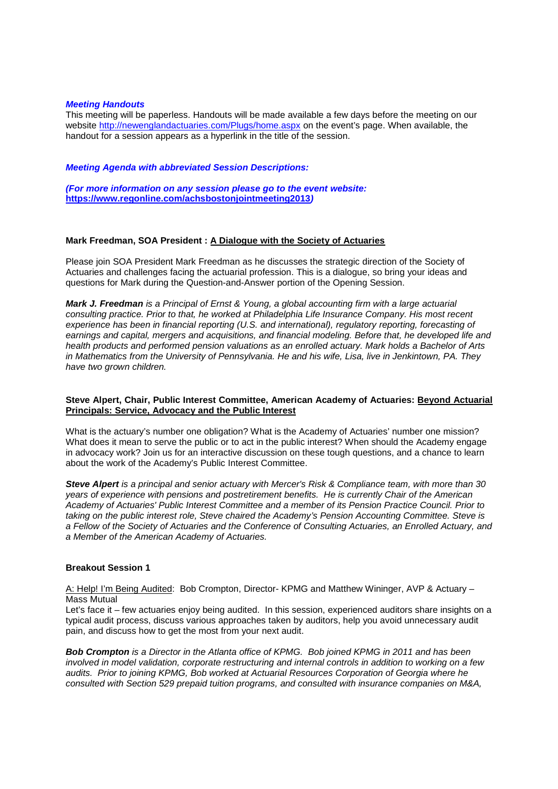#### *Meeting Handouts*

This meeting will be paperless. Handouts will be made available a few days before the meeting on our website http://newenglandactuaries.com/Plugs/home.aspx on the event's page. When available, the handout for a session appears as a hyperlink in the title of the session.

#### *Meeting Agenda with abbreviated Session Descriptions:*

*(For more information on any session please go to the event website:* **https://www.regonline.com/achsbostonjointmeeting2013***)*

### **Mark Freedman, SOA President : A Dialogue with the Society of Actuaries**

Please join SOA President Mark Freedman as he discusses the strategic direction of the Society of Actuaries and challenges facing the actuarial profession. This is a dialogue, so bring your ideas and questions for Mark during the Question-and-Answer portion of the Opening Session.

*Mark J. Freedman is a Principal of Ernst & Young, a global accounting firm with a large actuarial consulting practice. Prior to that, he worked at Philadelphia Life Insurance Company. His most recent experience has been in financial reporting (U.S. and international), regulatory reporting, forecasting of earnings and capital, mergers and acquisitions, and financial modeling. Before that, he developed life and health products and performed pension valuations as an enrolled actuary. Mark holds a Bachelor of Arts in Mathematics from the University of Pennsylvania. He and his wife, Lisa, live in Jenkintown, PA. They have two grown children.*

### **Steve Alpert, Chair, Public Interest Committee, American Academy of Actuaries: Beyond Actuarial Principals: Service, Advocacy and the Public Interest**

What is the actuary's number one obligation? What is the Academy of Actuaries' number one mission? What does it mean to serve the public or to act in the public interest? When should the Academy engage in advocacy work? Join us for an interactive discussion on these tough questions, and a chance to learn about the work of the Academy's Public Interest Committee.

*Steve Alpert is a principal and senior actuary with Mercer's Risk & Compliance team, with more than 30 years of experience with pensions and postretirement benefits. He is currently Chair of the American Academy of Actuaries' Public Interest Committee and a member of its Pension Practice Council. Prior to taking on the public interest role, Steve chaired the Academy's Pension Accounting Committee. Steve is a Fellow of the Society of Actuaries and the Conference of Consulting Actuaries, an Enrolled Actuary, and a Member of the American Academy of Actuaries.*

### **Breakout Session 1**

A: Help! I'm Being Audited: Bob Crompton, Director- KPMG and Matthew Wininger, AVP & Actuary – Mass Mutual

Let's face it – few actuaries enjoy being audited. In this session, experienced auditors share insights on a typical audit process, discuss various approaches taken by auditors, help you avoid unnecessary audit pain, and discuss how to get the most from your next audit.

*Bob Crompton is a Director in the Atlanta office of KPMG. Bob joined KPMG in 2011 and has been involved in model validation, corporate restructuring and internal controls in addition to working on a few audits. Prior to joining KPMG, Bob worked at Actuarial Resources Corporation of Georgia where he consulted with Section 529 prepaid tuition programs, and consulted with insurance companies on M&A,*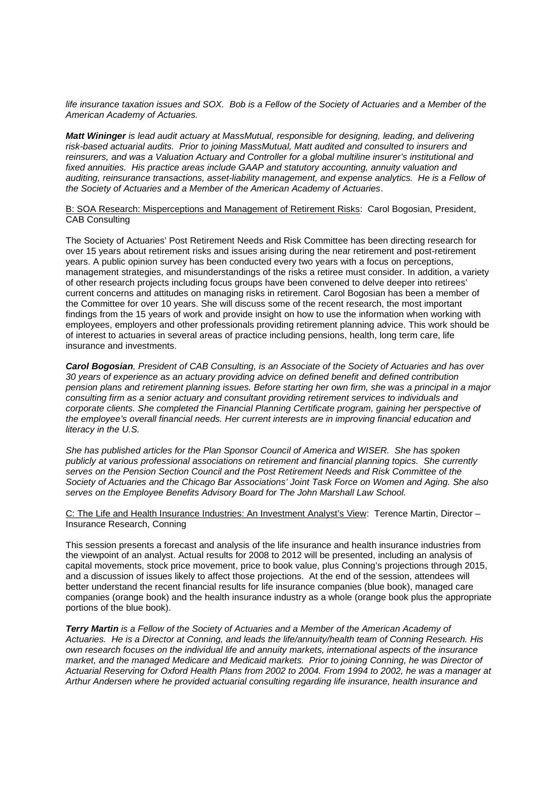*life insurance taxation issues and SOX. Bob is a Fellow of the Society of Actuaries and a Member of the American Academy of Actuaries.*

*Matt Wininger is lead audit actuary at MassMutual, responsible for designing, leading, and delivering risk-based actuarial audits. Prior to joining MassMutual, Matt audited and consulted to insurers and reinsurers, and was a Valuation Actuary and Controller for a global multiline insurer's institutional and fixed annuities. His practice areas include GAAP and statutory accounting, annuity valuation and auditing, reinsurance transactions, asset-liability management, and expense analytics. He is a Fellow of the Society of Actuaries and a Member of the American Academy of Actuaries*.

B: SOA Research: Misperceptions and Management of Retirement Risks: Carol Bogosian, President, CAB Consulting

The Society of Actuaries' Post Retirement Needs and Risk Committee has been directing research for over 15 years about retirement risks and issues arising during the near retirement and post-retirement years. A public opinion survey has been conducted every two years with a focus on perceptions, management strategies, and misunderstandings of the risks a retiree must consider. In addition, a variety of other research projects including focus groups have been convened to delve deeper into retirees' current concerns and attitudes on managing risks in retirement. Carol Bogosian has been a member of the Committee for over 10 years. She will discuss some of the recent research, the most important findings from the 15 years of work and provide insight on how to use the information when working with employees, employers and other professionals providing retirement planning advice. This work should be of interest to actuaries in several areas of practice including pensions, health, long term care, life insurance and investments.

*Carol Bogosian, President of CAB Consulting, is an Associate of the Society of Actuaries and has over 30 years of experience as an actuary providing advice on defined benefit and defined contribution pension plans and retirement planning issues. Before starting her own firm, she was a principal in a major consulting firm as a senior actuary and consultant providing retirement services to individuals and corporate clients. She completed the Financial Planning Certificate program, gaining her perspective of the employee's overall financial needs. Her current interests are in improving financial education and literacy in the U.S.*

*She has published articles for the Plan Sponsor Council of America and WISER. She has spoken publicly at various professional associations on retirement and financial planning topics. She currently serves on the Pension Section Council and the Post Retirement Needs and Risk Committee of the Society of Actuaries and the Chicago Bar Associations' Joint Task Force on Women and Aging. She also serves on the Employee Benefits Advisory Board for The John Marshall Law School.*

C: The Life and Health Insurance Industries: An Investment Analyst's View: Terence Martin, Director – Insurance Research, Conning

This session presents a forecast and analysis of the life insurance and health insurance industries from the viewpoint of an analyst. Actual results for 2008 to 2012 will be presented, including an analysis of capital movements, stock price movement, price to book value, plus Conning's projections through 2015, and a discussion of issues likely to affect those projections. At the end of the session, attendees will better understand the recent financial results for life insurance companies (blue book), managed care companies (orange book) and the health insurance industry as a whole (orange book plus the appropriate portions of the blue book).

*Terry Martin is a Fellow of the Society of Actuaries and a Member of the American Academy of Actuaries. He is a Director at Conning, and leads the life/annuity/health team of Conning Research. His own research focuses on the individual life and annuity markets, international aspects of the insurance market, and the managed Medicare and Medicaid markets. Prior to joining Conning, he was Director of Actuarial Reserving for Oxford Health Plans from 2002 to 2004. From 1994 to 2002, he was a manager at Arthur Andersen where he provided actuarial consulting regarding life insurance, health insurance and*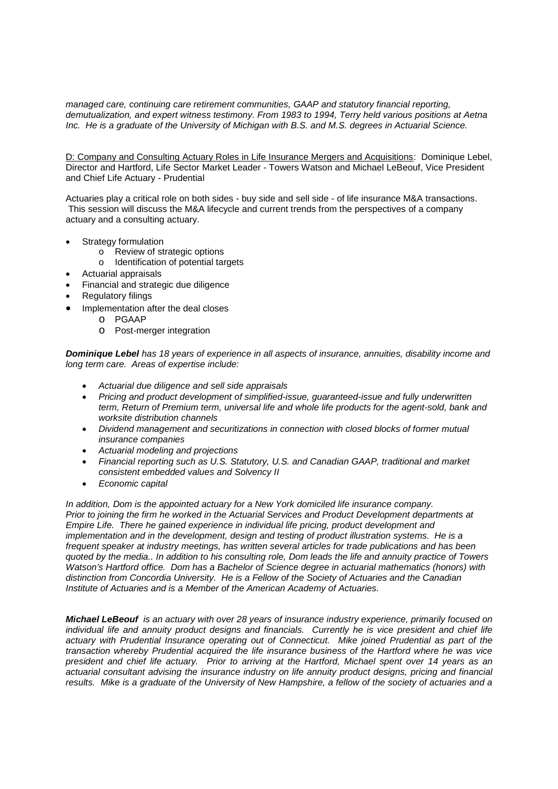*managed care, continuing care retirement communities, GAAP and statutory financial reporting, demutualization, and expert witness testimony. From 1983 to 1994, Terry held various positions at Aetna Inc. He is a graduate of the University of Michigan with B.S. and M.S. degrees in Actuarial Science.*

D: Company and Consulting Actuary Roles in Life Insurance Mergers and Acquisitions: Dominique Lebel, Director and Hartford, Life Sector Market Leader - Towers Watson and Michael LeBeouf, Vice President and Chief Life Actuary - Prudential

Actuaries play a critical role on both sides - buy side and sell side - of life insurance M&A transactions. This session will discuss the M&A lifecycle and current trends from the perspectives of a company actuary and a consulting actuary.

- Strategy formulation
	- o Review of strategic options
	- o Identification of potential targets
- Actuarial appraisals
- Financial and strategic due diligence
- Regulatory filings
- Implementation after the deal closes
	- o PGAAP
	- o Post-merger integration

*Dominique Lebel has 18 years of experience in all aspects of insurance, annuities, disability income and long term care. Areas of expertise include:*

- *Actuarial due diligence and sell side appraisals*
- *Pricing and product development of simplified-issue, guaranteed-issue and fully underwritten term, Return of Premium term, universal life and whole life products for the agent-sold, bank and worksite distribution channels*
- *Dividend management and securitizations in connection with closed blocks of former mutual insurance companies*
- *Actuarial modeling and projections*
- *Financial reporting such as U.S. Statutory, U.S. and Canadian GAAP, traditional and market consistent embedded values and Solvency II*
- *Economic capital*

*In addition, Dom is the appointed actuary for a New York domiciled life insurance company. Prior to joining the firm he worked in the Actuarial Services and Product Development departments at Empire Life. There he gained experience in individual life pricing, product development and implementation and in the development, design and testing of product illustration systems. He is a frequent speaker at industry meetings, has written several articles for trade publications and has been quoted by the media.. In addition to his consulting role, Dom leads the life and annuity practice of Towers Watson's Hartford office. Dom has a Bachelor of Science degree in actuarial mathematics (honors) with distinction from Concordia University. He is a Fellow of the Society of Actuaries and the Canadian Institute of Actuaries and is a Member of the American Academy of Actuaries.*

*Michael LeBeouf is an actuary with over 28 years of insurance industry experience, primarily focused on individual life and annuity product designs and financials. Currently he is vice president and chief life actuary with Prudential Insurance operating out of Connecticut. Mike joined Prudential as part of the transaction whereby Prudential acquired the life insurance business of the Hartford where he was vice president and chief life actuary. Prior to arriving at the Hartford, Michael spent over 14 years as an actuarial consultant advising the insurance industry on life annuity product designs, pricing and financial results. Mike is a graduate of the University of New Hampshire, a fellow of the society of actuaries and a*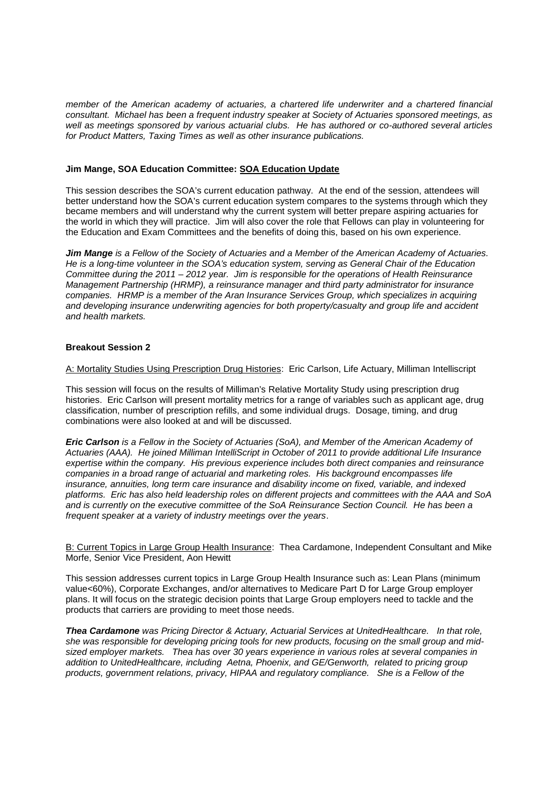*member of the American academy of actuaries, a chartered life underwriter and a chartered financial consultant. Michael has been a frequent industry speaker at Society of Actuaries sponsored meetings, as well as meetings sponsored by various actuarial clubs. He has authored or co-authored several articles for Product Matters, Taxing Times as well as other insurance publications.*

# **Jim Mange, SOA Education Committee: SOA Education Update**

This session describes the SOA's current education pathway. At the end of the session, attendees will better understand how the SOA's current education system compares to the systems through which they became members and will understand why the current system will better prepare aspiring actuaries for the world in which they will practice. Jim will also cover the role that Fellows can play in volunteering for the Education and Exam Committees and the benefits of doing this, based on his own experience.

*Jim Mange is a Fellow of the Society of Actuaries and a Member of the American Academy of Actuaries. He is a long-time volunteer in the SOA's education system, serving as General Chair of the Education Committee during the 2011 – 2012 year. Jim is responsible for the operations of Health Reinsurance Management Partnership (HRMP), a reinsurance manager and third party administrator for insurance companies. HRMP is a member of the Aran Insurance Services Group, which specializes in acquiring and developing insurance underwriting agencies for both property/casualty and group life and accident and health markets.*

## **Breakout Session 2**

A: Mortality Studies Using Prescription Drug Histories: Eric Carlson, Life Actuary, Milliman Intelliscript

This session will focus on the results of Milliman's Relative Mortality Study using prescription drug histories. Eric Carlson will present mortality metrics for a range of variables such as applicant age, drug classification, number of prescription refills, and some individual drugs. Dosage, timing, and drug combinations were also looked at and will be discussed.

*Eric Carlson is a Fellow in the Society of Actuaries (SoA), and Member of the American Academy of Actuaries (AAA). He joined Milliman IntelliScript in October of 2011 to provide additional Life Insurance expertise within the company. His previous experience includes both direct companies and reinsurance companies in a broad range of actuarial and marketing roles. His background encompasses life insurance, annuities, long term care insurance and disability income on fixed, variable, and indexed platforms. Eric has also held leadership roles on different projects and committees with the AAA and SoA and is currently on the executive committee of the SoA Reinsurance Section Council. He has been a frequent speaker at a variety of industry meetings over the years*.

B: Current Topics in Large Group Health Insurance: Thea Cardamone, Independent Consultant and Mike Morfe, Senior Vice President, Aon Hewitt

This session addresses current topics in Large Group Health Insurance such as: Lean Plans (minimum value<60%), Corporate Exchanges, and/or alternatives to Medicare Part D for Large Group employer plans. It will focus on the strategic decision points that Large Group employers need to tackle and the products that carriers are providing to meet those needs.

*Thea Cardamone was Pricing Director & Actuary, Actuarial Services at UnitedHealthcare. In that role, she was responsible for developing pricing tools for new products, focusing on the small group and midsized employer markets. Thea has over 30 years experience in various roles at several companies in addition to UnitedHealthcare, including Aetna, Phoenix, and GE/Genworth, related to pricing group products, government relations, privacy, HIPAA and regulatory compliance. She is a Fellow of the*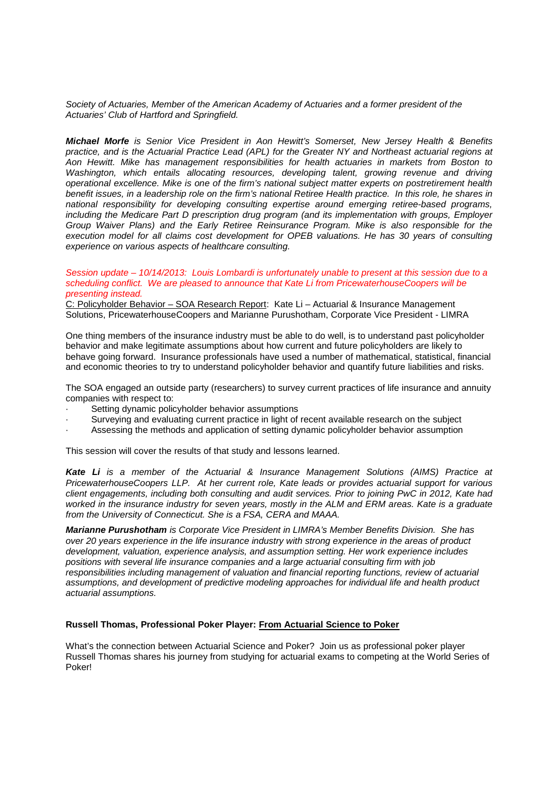### *Society of Actuaries, Member of the American Academy of Actuaries and a former president of the Actuaries' Club of Hartford and Springfield.*

*Michael Morfe is Senior Vice President in Aon Hewitt's Somerset, New Jersey Health & Benefits practice, and is the Actuarial Practice Lead (APL) for the Greater NY and Northeast actuarial regions at Aon Hewitt. Mike has management responsibilities for health actuaries in markets from Boston to Washington, which entails allocating resources, developing talent, growing revenue and driving operational excellence. Mike is one of the firm's national subject matter experts on postretirement health benefit issues, in a leadership role on the firm's national Retiree Health practice. In this role, he shares in national responsibility for developing consulting expertise around emerging retiree-based programs, including the Medicare Part D prescription drug program (and its implementation with groups, Employer Group Waiver Plans) and the Early Retiree Reinsurance Program. Mike is also responsible for the execution model for all claims cost development for OPEB valuations. He has 30 years of consulting experience on various aspects of healthcare consulting.*

#### *Session update – 10/14/2013: Louis Lombardi is unfortunately unable to present at this session due to a scheduling conflict. We are pleased to announce that Kate Li from PricewaterhouseCoopers will be presenting instead.*

C: Policyholder Behavior – SOA Research Report: Kate Li – Actuarial & Insurance Management Solutions, PricewaterhouseCoopers and Marianne Purushotham, Corporate Vice President - LIMRA

One thing members of the insurance industry must be able to do well, is to understand past policyholder behavior and make legitimate assumptions about how current and future policyholders are likely to behave going forward. Insurance professionals have used a number of mathematical, statistical, financial and economic theories to try to understand policyholder behavior and quantify future liabilities and risks.

The SOA engaged an outside party (researchers) to survey current practices of life insurance and annuity companies with respect to:

- Setting dynamic policyholder behavior assumptions
- Surveying and evaluating current practice in light of recent available research on the subject
- · Assessing the methods and application of setting dynamic policyholder behavior assumption

This session will cover the results of that study and lessons learned.

*Kate Li is a member of the Actuarial & Insurance Management Solutions (AIMS) Practice at PricewaterhouseCoopers LLP. At her current role, Kate leads or provides actuarial support for various client engagements, including both consulting and audit services. Prior to joining PwC in 2012, Kate had worked in the insurance industry for seven years, mostly in the ALM and ERM areas. Kate is a graduate from the University of Connecticut. She is a FSA, CERA and MAAA.*

*Marianne Purushotham is Corporate Vice President in LIMRA's Member Benefits Division. She has over 20 years experience in the life insurance industry with strong experience in the areas of product development, valuation, experience analysis, and assumption setting. Her work experience includes positions with several life insurance companies and a large actuarial consulting firm with job responsibilities including management of valuation and financial reporting functions, review of actuarial assumptions, and development of predictive modeling approaches for individual life and health product actuarial assumptions.*

### **Russell Thomas, Professional Poker Player: From Actuarial Science to Poker**

What's the connection between Actuarial Science and Poker? Join us as professional poker player Russell Thomas shares his journey from studying for actuarial exams to competing at the World Series of Poker!